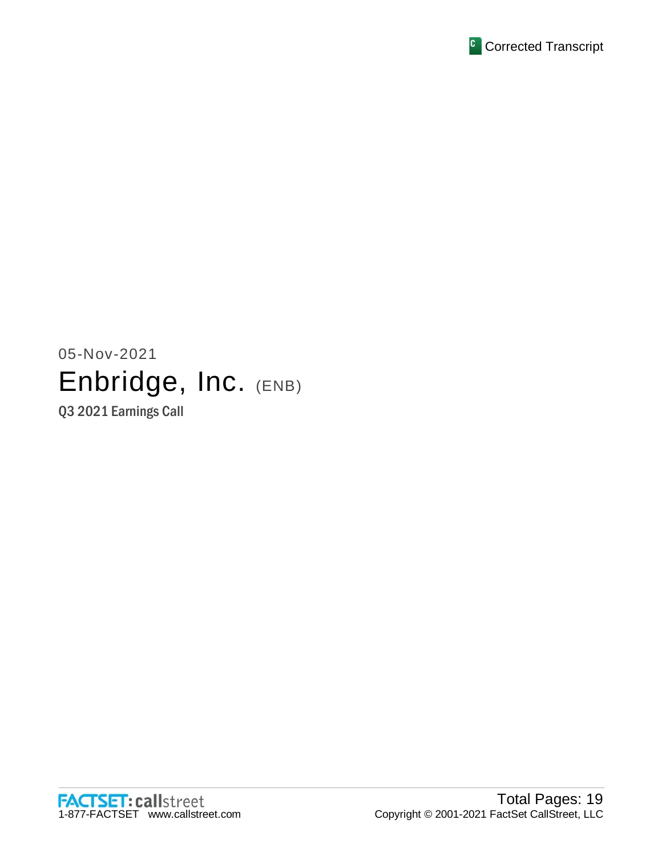

05-Nov-2021 Enbridge, Inc. (ENB) Q3 2021 Earnings Call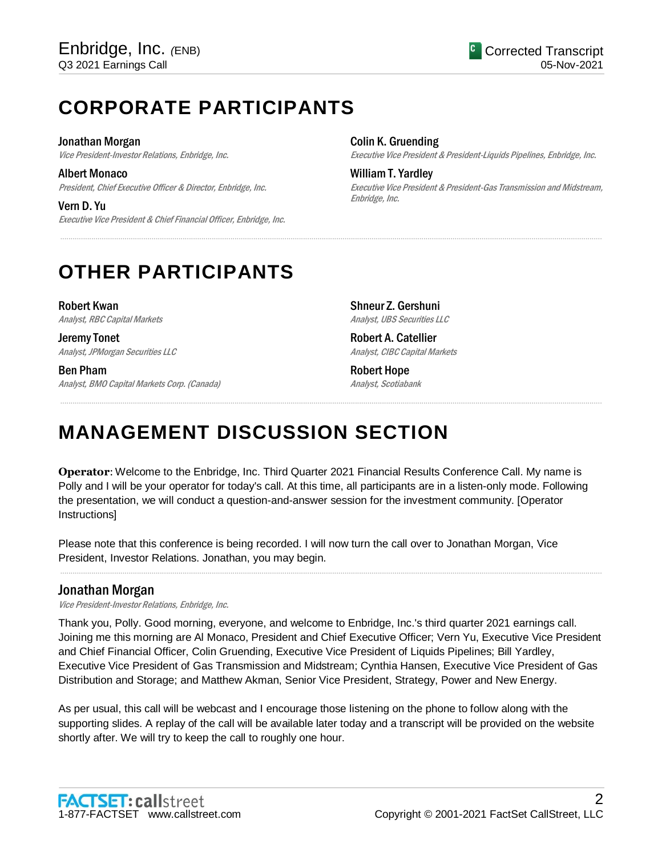# **CORPORATE PARTICIPANTS**

Jonathan Morgan

Vice President-Investor Relations, Enbridge, Inc.

Albert Monaco President, Chief Executive Officer & Director, Enbridge, Inc.

Vern D. Yu Executive Vice President & Chief Financial Officer, Enbridge, Inc. Colin K. Gruending

Executive Vice President & President-Liquids Pipelines, Enbridge, Inc.

William T. Yardley Executive Vice President & President-Gas Transmission and Midstream, Enbridge, Inc.

# **OTHER PARTICIPANTS**

Robert Kwan Analyst, RBC Capital Markets

Jeremy Tonet Analyst, JPMorgan Securities LLC

Ben Pham Analyst, BMO Capital Markets Corp. (Canada) Shneur Z. Gershuni Analyst, UBS Securities LLC

Robert A. Catellier Analyst, CIBC Capital Markets

Robert Hope Analyst, Scotiabank

# **MANAGEMENT DISCUSSION SECTION**

**Operator**: Welcome to the Enbridge, Inc. Third Quarter 2021 Financial Results Conference Call. My name is Polly and I will be your operator for today's call. At this time, all participants are in a listen-only mode. Following the presentation, we will conduct a question-and-answer session for the investment community. [Operator Instructions]

.....................................................................................................................................................................................................................................................................

.....................................................................................................................................................................................................................................................................

Please note that this conference is being recorded. I will now turn the call over to Jonathan Morgan, Vice President, Investor Relations. Jonathan, you may begin.

# Jonathan Morgan

Vice President-Investor Relations, Enbridge, Inc.

Thank you, Polly. Good morning, everyone, and welcome to Enbridge, Inc.'s third quarter 2021 earnings call. Joining me this morning are Al Monaco, President and Chief Executive Officer; Vern Yu, Executive Vice President and Chief Financial Officer, Colin Gruending, Executive Vice President of Liquids Pipelines; Bill Yardley, Executive Vice President of Gas Transmission and Midstream; Cynthia Hansen, Executive Vice President of Gas Distribution and Storage; and Matthew Akman, Senior Vice President, Strategy, Power and New Energy.

.....................................................................................................................................................................................................................................................................

As per usual, this call will be webcast and I encourage those listening on the phone to follow along with the supporting slides. A replay of the call will be available later today and a transcript will be provided on the website shortly after. We will try to keep the call to roughly one hour.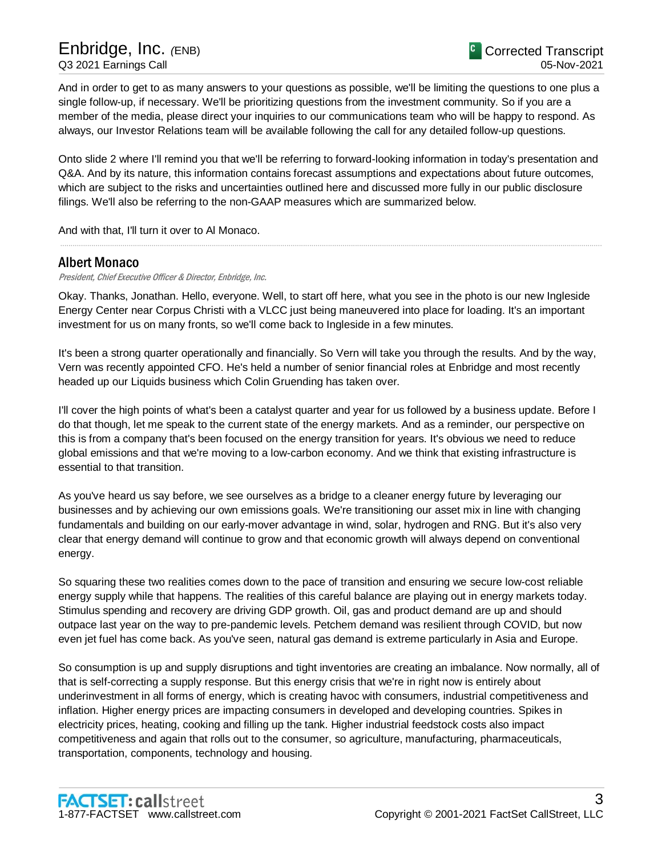And in order to get to as many answers to your questions as possible, we'll be limiting the questions to one plus a single follow-up, if necessary. We'll be prioritizing questions from the investment community. So if you are a member of the media, please direct your inquiries to our communications team who will be happy to respond. As always, our Investor Relations team will be available following the call for any detailed follow-up questions.

Onto slide 2 where I'll remind you that we'll be referring to forward-looking information in today's presentation and Q&A. And by its nature, this information contains forecast assumptions and expectations about future outcomes, which are subject to the risks and uncertainties outlined here and discussed more fully in our public disclosure filings. We'll also be referring to the non-GAAP measures which are summarized below.

.....................................................................................................................................................................................................................................................................

And with that, I'll turn it over to Al Monaco.

# Albert Monaco

President, Chief Executive Officer & Director, Enbridge, Inc.

Okay. Thanks, Jonathan. Hello, everyone. Well, to start off here, what you see in the photo is our new Ingleside Energy Center near Corpus Christi with a VLCC just being maneuvered into place for loading. It's an important investment for us on many fronts, so we'll come back to Ingleside in a few minutes.

It's been a strong quarter operationally and financially. So Vern will take you through the results. And by the way, Vern was recently appointed CFO. He's held a number of senior financial roles at Enbridge and most recently headed up our Liquids business which Colin Gruending has taken over.

I'll cover the high points of what's been a catalyst quarter and year for us followed by a business update. Before I do that though, let me speak to the current state of the energy markets. And as a reminder, our perspective on this is from a company that's been focused on the energy transition for years. It's obvious we need to reduce global emissions and that we're moving to a low-carbon economy. And we think that existing infrastructure is essential to that transition.

As you've heard us say before, we see ourselves as a bridge to a cleaner energy future by leveraging our businesses and by achieving our own emissions goals. We're transitioning our asset mix in line with changing fundamentals and building on our early-mover advantage in wind, solar, hydrogen and RNG. But it's also very clear that energy demand will continue to grow and that economic growth will always depend on conventional energy.

So squaring these two realities comes down to the pace of transition and ensuring we secure low-cost reliable energy supply while that happens. The realities of this careful balance are playing out in energy markets today. Stimulus spending and recovery are driving GDP growth. Oil, gas and product demand are up and should outpace last year on the way to pre-pandemic levels. Petchem demand was resilient through COVID, but now even jet fuel has come back. As you've seen, natural gas demand is extreme particularly in Asia and Europe.

So consumption is up and supply disruptions and tight inventories are creating an imbalance. Now normally, all of that is self-correcting a supply response. But this energy crisis that we're in right now is entirely about underinvestment in all forms of energy, which is creating havoc with consumers, industrial competitiveness and inflation. Higher energy prices are impacting consumers in developed and developing countries. Spikes in electricity prices, heating, cooking and filling up the tank. Higher industrial feedstock costs also impact competitiveness and again that rolls out to the consumer, so agriculture, manufacturing, pharmaceuticals, transportation, components, technology and housing.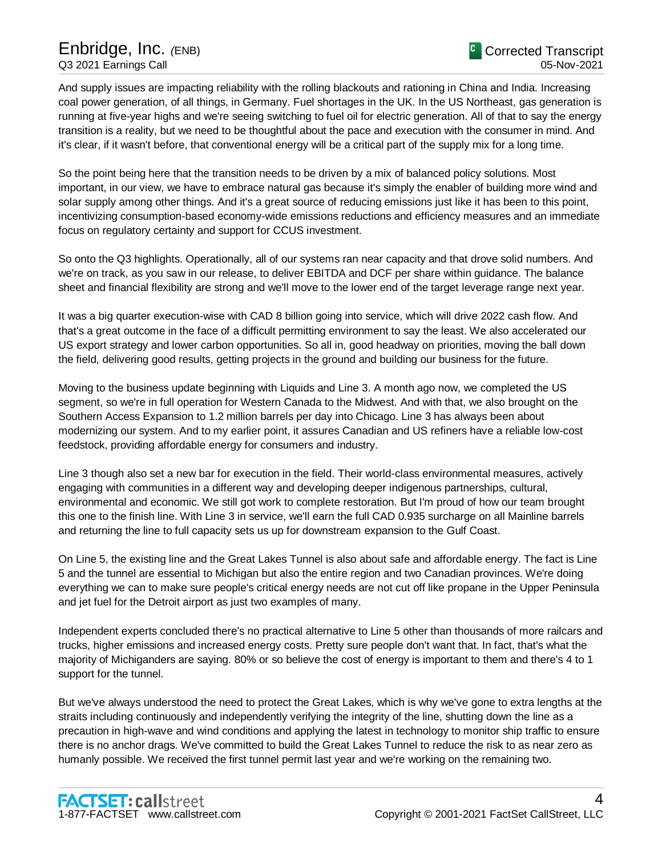And supply issues are impacting reliability with the rolling blackouts and rationing in China and India. Increasing coal power generation, of all things, in Germany. Fuel shortages in the UK. In the US Northeast, gas generation is running at five-year highs and we're seeing switching to fuel oil for electric generation. All of that to say the energy transition is a reality, but we need to be thoughtful about the pace and execution with the consumer in mind. And it's clear, if it wasn't before, that conventional energy will be a critical part of the supply mix for a long time.

So the point being here that the transition needs to be driven by a mix of balanced policy solutions. Most important, in our view, we have to embrace natural gas because it's simply the enabler of building more wind and solar supply among other things. And it's a great source of reducing emissions just like it has been to this point, incentivizing consumption-based economy-wide emissions reductions and efficiency measures and an immediate focus on regulatory certainty and support for CCUS investment.

So onto the Q3 highlights. Operationally, all of our systems ran near capacity and that drove solid numbers. And we're on track, as you saw in our release, to deliver EBITDA and DCF per share within guidance. The balance sheet and financial flexibility are strong and we'll move to the lower end of the target leverage range next year.

It was a big quarter execution-wise with CAD 8 billion going into service, which will drive 2022 cash flow. And that's a great outcome in the face of a difficult permitting environment to say the least. We also accelerated our US export strategy and lower carbon opportunities. So all in, good headway on priorities, moving the ball down the field, delivering good results, getting projects in the ground and building our business for the future.

Moving to the business update beginning with Liquids and Line 3. A month ago now, we completed the US segment, so we're in full operation for Western Canada to the Midwest. And with that, we also brought on the Southern Access Expansion to 1.2 million barrels per day into Chicago. Line 3 has always been about modernizing our system. And to my earlier point, it assures Canadian and US refiners have a reliable low-cost feedstock, providing affordable energy for consumers and industry.

Line 3 though also set a new bar for execution in the field. Their world-class environmental measures, actively engaging with communities in a different way and developing deeper indigenous partnerships, cultural, environmental and economic. We still got work to complete restoration. But I'm proud of how our team brought this one to the finish line. With Line 3 in service, we'll earn the full CAD 0.935 surcharge on all Mainline barrels and returning the line to full capacity sets us up for downstream expansion to the Gulf Coast.

On Line 5, the existing line and the Great Lakes Tunnel is also about safe and affordable energy. The fact is Line 5 and the tunnel are essential to Michigan but also the entire region and two Canadian provinces. We're doing everything we can to make sure people's critical energy needs are not cut off like propane in the Upper Peninsula and jet fuel for the Detroit airport as just two examples of many.

Independent experts concluded there's no practical alternative to Line 5 other than thousands of more railcars and trucks, higher emissions and increased energy costs. Pretty sure people don't want that. In fact, that's what the majority of Michiganders are saying. 80% or so believe the cost of energy is important to them and there's 4 to 1 support for the tunnel.

But we've always understood the need to protect the Great Lakes, which is why we've gone to extra lengths at the straits including continuously and independently verifying the integrity of the line, shutting down the line as a precaution in high-wave and wind conditions and applying the latest in technology to monitor ship traffic to ensure there is no anchor drags. We've committed to build the Great Lakes Tunnel to reduce the risk to as near zero as humanly possible. We received the first tunnel permit last year and we're working on the remaining two.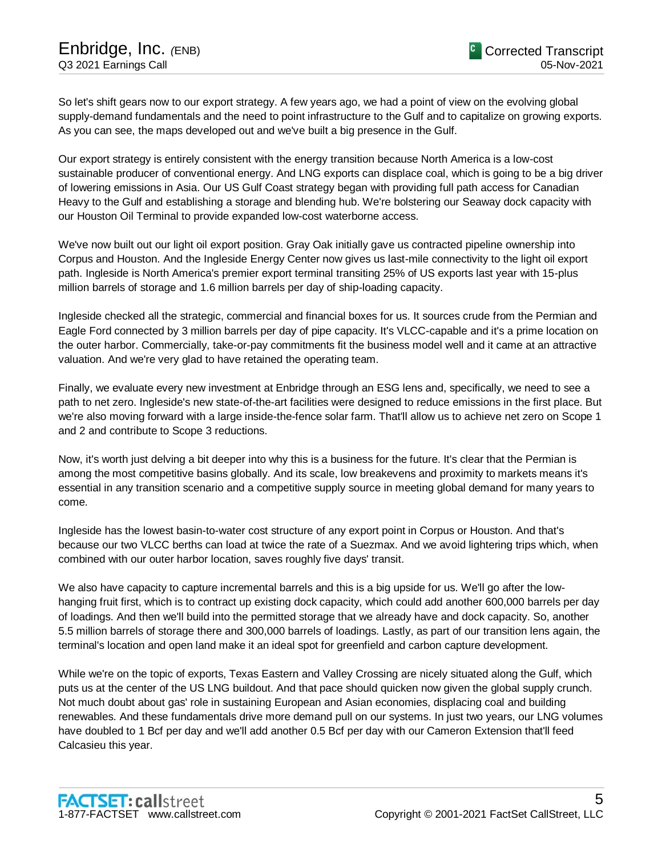So let's shift gears now to our export strategy. A few years ago, we had a point of view on the evolving global supply-demand fundamentals and the need to point infrastructure to the Gulf and to capitalize on growing exports. As you can see, the maps developed out and we've built a big presence in the Gulf.

Our export strategy is entirely consistent with the energy transition because North America is a low-cost sustainable producer of conventional energy. And LNG exports can displace coal, which is going to be a big driver of lowering emissions in Asia. Our US Gulf Coast strategy began with providing full path access for Canadian Heavy to the Gulf and establishing a storage and blending hub. We're bolstering our Seaway dock capacity with our Houston Oil Terminal to provide expanded low-cost waterborne access.

We've now built out our light oil export position. Gray Oak initially gave us contracted pipeline ownership into Corpus and Houston. And the Ingleside Energy Center now gives us last-mile connectivity to the light oil export path. Ingleside is North America's premier export terminal transiting 25% of US exports last year with 15-plus million barrels of storage and 1.6 million barrels per day of ship-loading capacity.

Ingleside checked all the strategic, commercial and financial boxes for us. It sources crude from the Permian and Eagle Ford connected by 3 million barrels per day of pipe capacity. It's VLCC-capable and it's a prime location on the outer harbor. Commercially, take-or-pay commitments fit the business model well and it came at an attractive valuation. And we're very glad to have retained the operating team.

Finally, we evaluate every new investment at Enbridge through an ESG lens and, specifically, we need to see a path to net zero. Ingleside's new state-of-the-art facilities were designed to reduce emissions in the first place. But we're also moving forward with a large inside-the-fence solar farm. That'll allow us to achieve net zero on Scope 1 and 2 and contribute to Scope 3 reductions.

Now, it's worth just delving a bit deeper into why this is a business for the future. It's clear that the Permian is among the most competitive basins globally. And its scale, low breakevens and proximity to markets means it's essential in any transition scenario and a competitive supply source in meeting global demand for many years to come.

Ingleside has the lowest basin-to-water cost structure of any export point in Corpus or Houston. And that's because our two VLCC berths can load at twice the rate of a Suezmax. And we avoid lightering trips which, when combined with our outer harbor location, saves roughly five days' transit.

We also have capacity to capture incremental barrels and this is a big upside for us. We'll go after the lowhanging fruit first, which is to contract up existing dock capacity, which could add another 600,000 barrels per day of loadings. And then we'll build into the permitted storage that we already have and dock capacity. So, another 5.5 million barrels of storage there and 300,000 barrels of loadings. Lastly, as part of our transition lens again, the terminal's location and open land make it an ideal spot for greenfield and carbon capture development.

While we're on the topic of exports, Texas Eastern and Valley Crossing are nicely situated along the Gulf, which puts us at the center of the US LNG buildout. And that pace should quicken now given the global supply crunch. Not much doubt about gas' role in sustaining European and Asian economies, displacing coal and building renewables. And these fundamentals drive more demand pull on our systems. In just two years, our LNG volumes have doubled to 1 Bcf per day and we'll add another 0.5 Bcf per day with our Cameron Extension that'll feed Calcasieu this year.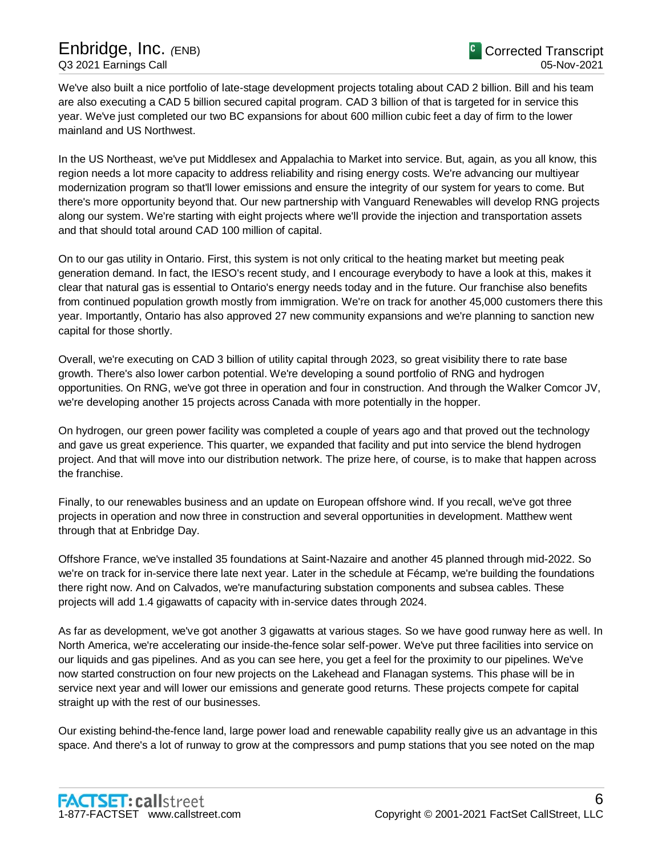We've also built a nice portfolio of late-stage development projects totaling about CAD 2 billion. Bill and his team are also executing a CAD 5 billion secured capital program. CAD 3 billion of that is targeted for in service this year. We've just completed our two BC expansions for about 600 million cubic feet a day of firm to the lower mainland and US Northwest.

In the US Northeast, we've put Middlesex and Appalachia to Market into service. But, again, as you all know, this region needs a lot more capacity to address reliability and rising energy costs. We're advancing our multiyear modernization program so that'll lower emissions and ensure the integrity of our system for years to come. But there's more opportunity beyond that. Our new partnership with Vanguard Renewables will develop RNG projects along our system. We're starting with eight projects where we'll provide the injection and transportation assets and that should total around CAD 100 million of capital.

On to our gas utility in Ontario. First, this system is not only critical to the heating market but meeting peak generation demand. In fact, the IESO's recent study, and I encourage everybody to have a look at this, makes it clear that natural gas is essential to Ontario's energy needs today and in the future. Our franchise also benefits from continued population growth mostly from immigration. We're on track for another 45,000 customers there this year. Importantly, Ontario has also approved 27 new community expansions and we're planning to sanction new capital for those shortly.

Overall, we're executing on CAD 3 billion of utility capital through 2023, so great visibility there to rate base growth. There's also lower carbon potential. We're developing a sound portfolio of RNG and hydrogen opportunities. On RNG, we've got three in operation and four in construction. And through the Walker Comcor JV, we're developing another 15 projects across Canada with more potentially in the hopper.

On hydrogen, our green power facility was completed a couple of years ago and that proved out the technology and gave us great experience. This quarter, we expanded that facility and put into service the blend hydrogen project. And that will move into our distribution network. The prize here, of course, is to make that happen across the franchise.

Finally, to our renewables business and an update on European offshore wind. If you recall, we've got three projects in operation and now three in construction and several opportunities in development. Matthew went through that at Enbridge Day.

Offshore France, we've installed 35 foundations at Saint-Nazaire and another 45 planned through mid-2022. So we're on track for in-service there late next year. Later in the schedule at Fécamp, we're building the foundations there right now. And on Calvados, we're manufacturing substation components and subsea cables. These projects will add 1.4 gigawatts of capacity with in-service dates through 2024.

As far as development, we've got another 3 gigawatts at various stages. So we have good runway here as well. In North America, we're accelerating our inside-the-fence solar self-power. We've put three facilities into service on our liquids and gas pipelines. And as you can see here, you get a feel for the proximity to our pipelines. We've now started construction on four new projects on the Lakehead and Flanagan systems. This phase will be in service next year and will lower our emissions and generate good returns. These projects compete for capital straight up with the rest of our businesses.

Our existing behind-the-fence land, large power load and renewable capability really give us an advantage in this space. And there's a lot of runway to grow at the compressors and pump stations that you see noted on the map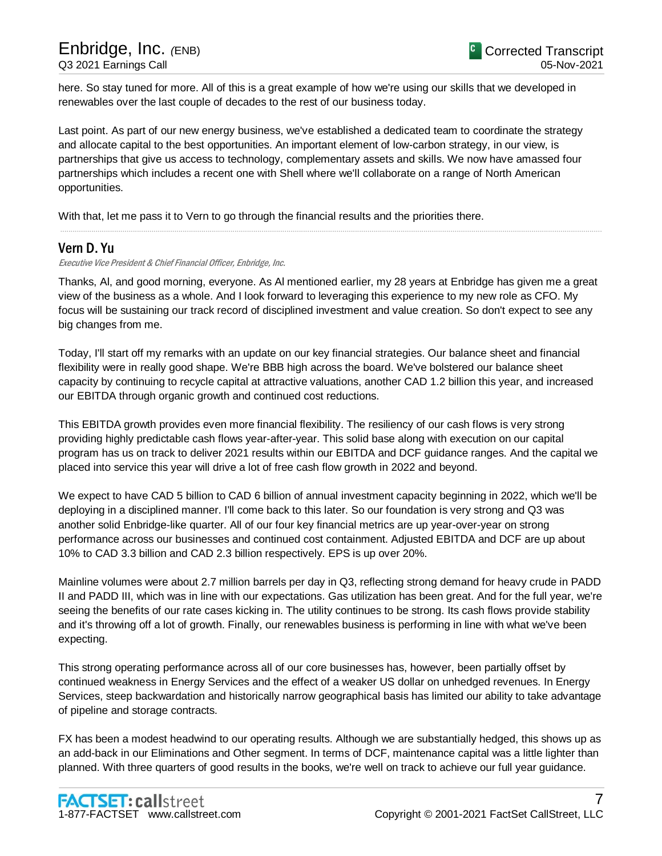here. So stay tuned for more. All of this is a great example of how we're using our skills that we developed in renewables over the last couple of decades to the rest of our business today.

Last point. As part of our new energy business, we've established a dedicated team to coordinate the strategy and allocate capital to the best opportunities. An important element of low-carbon strategy, in our view, is partnerships that give us access to technology, complementary assets and skills. We now have amassed four partnerships which includes a recent one with Shell where we'll collaborate on a range of North American opportunities.

With that, let me pass it to Vern to go through the financial results and the priorities there.

# Vern D. Yu

Executive Vice President & Chief Financial Officer, Enbridge, Inc.

Thanks, Al, and good morning, everyone. As Al mentioned earlier, my 28 years at Enbridge has given me a great view of the business as a whole. And I look forward to leveraging this experience to my new role as CFO. My focus will be sustaining our track record of disciplined investment and value creation. So don't expect to see any big changes from me.

.....................................................................................................................................................................................................................................................................

Today, I'll start off my remarks with an update on our key financial strategies. Our balance sheet and financial flexibility were in really good shape. We're BBB high across the board. We've bolstered our balance sheet capacity by continuing to recycle capital at attractive valuations, another CAD 1.2 billion this year, and increased our EBITDA through organic growth and continued cost reductions.

This EBITDA growth provides even more financial flexibility. The resiliency of our cash flows is very strong providing highly predictable cash flows year-after-year. This solid base along with execution on our capital program has us on track to deliver 2021 results within our EBITDA and DCF guidance ranges. And the capital we placed into service this year will drive a lot of free cash flow growth in 2022 and beyond.

We expect to have CAD 5 billion to CAD 6 billion of annual investment capacity beginning in 2022, which we'll be deploying in a disciplined manner. I'll come back to this later. So our foundation is very strong and Q3 was another solid Enbridge-like quarter. All of our four key financial metrics are up year-over-year on strong performance across our businesses and continued cost containment. Adjusted EBITDA and DCF are up about 10% to CAD 3.3 billion and CAD 2.3 billion respectively. EPS is up over 20%.

Mainline volumes were about 2.7 million barrels per day in Q3, reflecting strong demand for heavy crude in PADD II and PADD III, which was in line with our expectations. Gas utilization has been great. And for the full year, we're seeing the benefits of our rate cases kicking in. The utility continues to be strong. Its cash flows provide stability and it's throwing off a lot of growth. Finally, our renewables business is performing in line with what we've been expecting.

This strong operating performance across all of our core businesses has, however, been partially offset by continued weakness in Energy Services and the effect of a weaker US dollar on unhedged revenues. In Energy Services, steep backwardation and historically narrow geographical basis has limited our ability to take advantage of pipeline and storage contracts.

FX has been a modest headwind to our operating results. Although we are substantially hedged, this shows up as an add-back in our Eliminations and Other segment. In terms of DCF, maintenance capital was a little lighter than planned. With three quarters of good results in the books, we're well on track to achieve our full year guidance.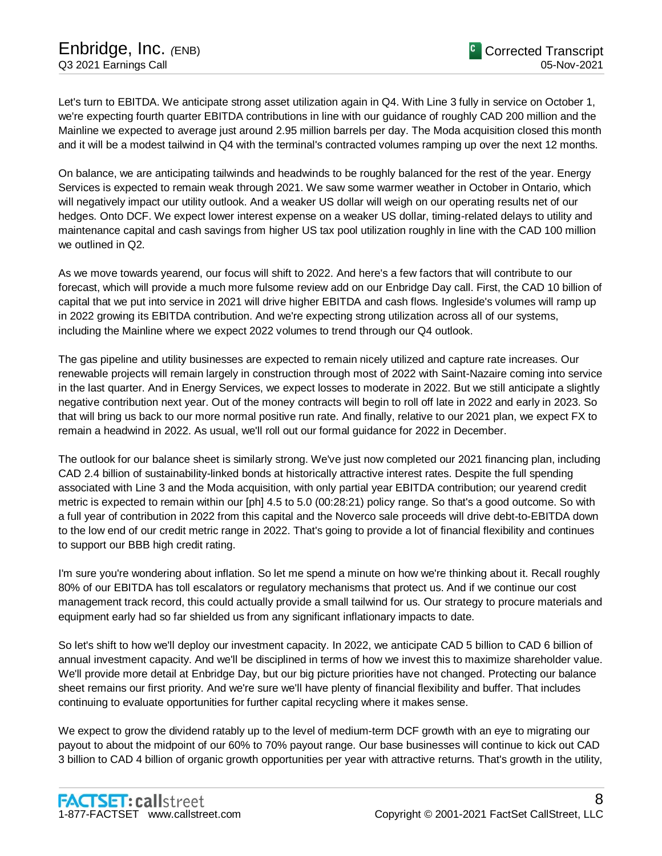Let's turn to EBITDA. We anticipate strong asset utilization again in Q4. With Line 3 fully in service on October 1, we're expecting fourth quarter EBITDA contributions in line with our guidance of roughly CAD 200 million and the Mainline we expected to average just around 2.95 million barrels per day. The Moda acquisition closed this month and it will be a modest tailwind in Q4 with the terminal's contracted volumes ramping up over the next 12 months.

On balance, we are anticipating tailwinds and headwinds to be roughly balanced for the rest of the year. Energy Services is expected to remain weak through 2021. We saw some warmer weather in October in Ontario, which will negatively impact our utility outlook. And a weaker US dollar will weigh on our operating results net of our hedges. Onto DCF. We expect lower interest expense on a weaker US dollar, timing-related delays to utility and maintenance capital and cash savings from higher US tax pool utilization roughly in line with the CAD 100 million we outlined in Q2.

As we move towards yearend, our focus will shift to 2022. And here's a few factors that will contribute to our forecast, which will provide a much more fulsome review add on our Enbridge Day call. First, the CAD 10 billion of capital that we put into service in 2021 will drive higher EBITDA and cash flows. Ingleside's volumes will ramp up in 2022 growing its EBITDA contribution. And we're expecting strong utilization across all of our systems, including the Mainline where we expect 2022 volumes to trend through our Q4 outlook.

The gas pipeline and utility businesses are expected to remain nicely utilized and capture rate increases. Our renewable projects will remain largely in construction through most of 2022 with Saint-Nazaire coming into service in the last quarter. And in Energy Services, we expect losses to moderate in 2022. But we still anticipate a slightly negative contribution next year. Out of the money contracts will begin to roll off late in 2022 and early in 2023. So that will bring us back to our more normal positive run rate. And finally, relative to our 2021 plan, we expect FX to remain a headwind in 2022. As usual, we'll roll out our formal guidance for 2022 in December.

The outlook for our balance sheet is similarly strong. We've just now completed our 2021 financing plan, including CAD 2.4 billion of sustainability-linked bonds at historically attractive interest rates. Despite the full spending associated with Line 3 and the Moda acquisition, with only partial year EBITDA contribution; our yearend credit metric is expected to remain within our [ph] 4.5 to 5.0 (00:28:21) policy range. So that's a good outcome. So with a full year of contribution in 2022 from this capital and the Noverco sale proceeds will drive debt-to-EBITDA down to the low end of our credit metric range in 2022. That's going to provide a lot of financial flexibility and continues to support our BBB high credit rating.

I'm sure you're wondering about inflation. So let me spend a minute on how we're thinking about it. Recall roughly 80% of our EBITDA has toll escalators or regulatory mechanisms that protect us. And if we continue our cost management track record, this could actually provide a small tailwind for us. Our strategy to procure materials and equipment early had so far shielded us from any significant inflationary impacts to date.

So let's shift to how we'll deploy our investment capacity. In 2022, we anticipate CAD 5 billion to CAD 6 billion of annual investment capacity. And we'll be disciplined in terms of how we invest this to maximize shareholder value. We'll provide more detail at Enbridge Day, but our big picture priorities have not changed. Protecting our balance sheet remains our first priority. And we're sure we'll have plenty of financial flexibility and buffer. That includes continuing to evaluate opportunities for further capital recycling where it makes sense.

We expect to grow the dividend ratably up to the level of medium-term DCF growth with an eye to migrating our payout to about the midpoint of our 60% to 70% payout range. Our base businesses will continue to kick out CAD 3 billion to CAD 4 billion of organic growth opportunities per year with attractive returns. That's growth in the utility,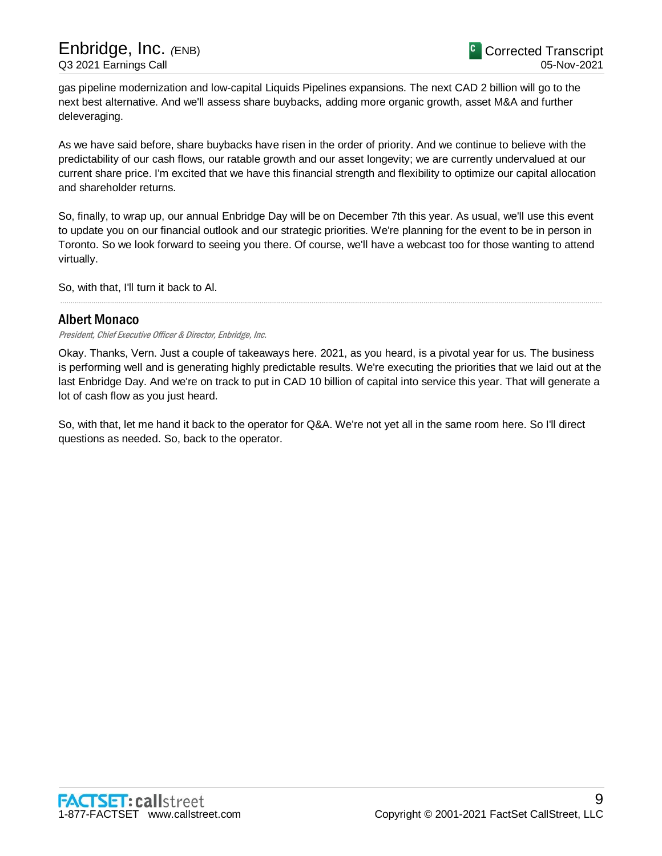gas pipeline modernization and low-capital Liquids Pipelines expansions. The next CAD 2 billion will go to the next best alternative. And we'll assess share buybacks, adding more organic growth, asset M&A and further deleveraging.

As we have said before, share buybacks have risen in the order of priority. And we continue to believe with the predictability of our cash flows, our ratable growth and our asset longevity; we are currently undervalued at our current share price. I'm excited that we have this financial strength and flexibility to optimize our capital allocation and shareholder returns.

So, finally, to wrap up, our annual Enbridge Day will be on December 7th this year. As usual, we'll use this event to update you on our financial outlook and our strategic priorities. We're planning for the event to be in person in Toronto. So we look forward to seeing you there. Of course, we'll have a webcast too for those wanting to attend virtually.

So, with that, I'll turn it back to Al.

# Albert Monaco

President, Chief Executive Officer & Director, Enbridge, Inc.

Okay. Thanks, Vern. Just a couple of takeaways here. 2021, as you heard, is a pivotal year for us. The business is performing well and is generating highly predictable results. We're executing the priorities that we laid out at the last Enbridge Day. And we're on track to put in CAD 10 billion of capital into service this year. That will generate a lot of cash flow as you just heard.

.....................................................................................................................................................................................................................................................................

So, with that, let me hand it back to the operator for Q&A. We're not yet all in the same room here. So I'll direct questions as needed. So, back to the operator.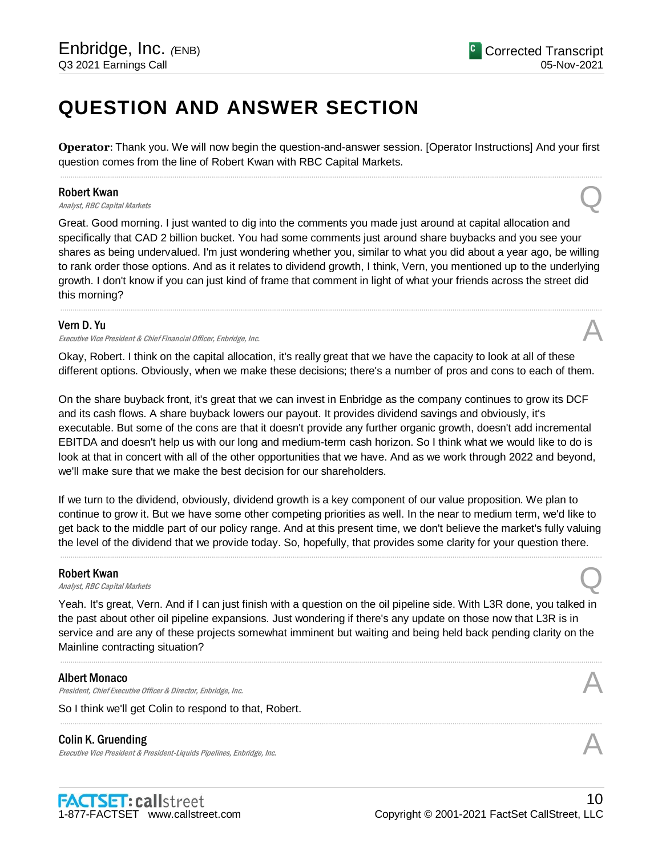# **QUESTION AND ANSWER SECTION**

**Operator**: Thank you. We will now begin the question-and-answer session. [Operator Instructions] And your first question comes from the line of Robert Kwan with RBC Capital Markets. .....................................................................................................................................................................................................................................................................

## Robert Kwan

**Robert Kwan**<br>Analyst, RBC Capital Markets **Q** 

Great. Good morning. I just wanted to dig into the comments you made just around at capital allocation and specifically that CAD 2 billion bucket. You had some comments just around share buybacks and you see your shares as being undervalued. I'm just wondering whether you, similar to what you did about a year ago, be willing to rank order those options. And as it relates to dividend growth, I think, Vern, you mentioned up to the underlying growth. I don't know if you can just kind of frame that comment in light of what your friends across the street did this morning?

.....................................................................................................................................................................................................................................................................

## Vern D. Yu

Executive Vice President & Chief Financial Officer, Enbridge, Inc.

Okay, Robert. I think on the capital allocation, it's really great that we have the capacity to look at all of these different options. Obviously, when we make these decisions; there's a number of pros and cons to each of them.

On the share buyback front, it's great that we can invest in Enbridge as the company continues to grow its DCF and its cash flows. A share buyback lowers our payout. It provides dividend savings and obviously, it's executable. But some of the cons are that it doesn't provide any further organic growth, doesn't add incremental EBITDA and doesn't help us with our long and medium-term cash horizon. So I think what we would like to do is look at that in concert with all of the other opportunities that we have. And as we work through 2022 and beyond, we'll make sure that we make the best decision for our shareholders.

If we turn to the dividend, obviously, dividend growth is a key component of our value proposition. We plan to continue to grow it. But we have some other competing priorities as well. In the near to medium term, we'd like to get back to the middle part of our policy range. And at this present time, we don't believe the market's fully valuing the level of the dividend that we provide today. So, hopefully, that provides some clarity for your question there.

.....................................................................................................................................................................................................................................................................

## Robert Kwan

**Robert Kwan**<br>Analyst, RBC Capital Markets **Q** 

Yeah. It's great, Vern. And if I can just finish with a question on the oil pipeline side. With L3R done, you talked in the past about other oil pipeline expansions. Just wondering if there's any update on those now that L3R is in service and are any of these projects somewhat imminent but waiting and being held back pending clarity on the Mainline contracting situation?

.....................................................................................................................................................................................................................................................................

.....................................................................................................................................................................................................................................................................

## Albert Monaco

Albert Monaco<br>President, Chief Executive Officer & Director, Enbridge, Inc. And The Content of the Security of the According

So I think we'll get Colin to respond to that, Robert.

## Colin K. Gruending

Executive Vice President & President-Liquids Pipelines, Enbridge, Inc.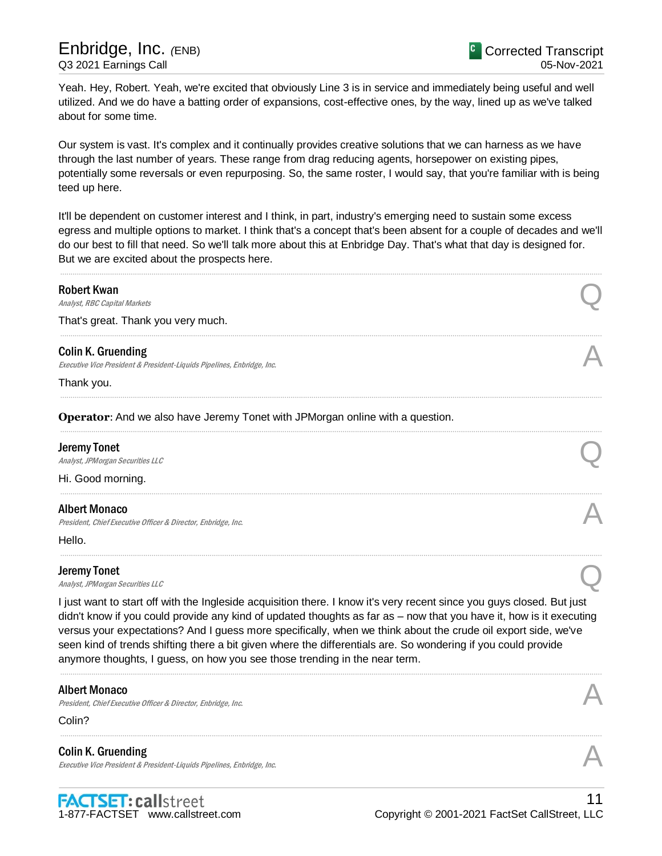Yeah. Hey, Robert. Yeah, we're excited that obviously Line 3 is in service and immediately being useful and well utilized. And we do have a batting order of expansions, cost-effective ones, by the way, lined up as we've talked about for some time.

Our system is vast. It's complex and it continually provides creative solutions that we can harness as we have through the last number of years. These range from drag reducing agents, horsepower on existing pipes, potentially some reversals or even repurposing. So, the same roster, I would say, that you're familiar with is being teed up here.

It'll be dependent on customer interest and I think, in part, industry's emerging need to sustain some excess egress and multiple options to market. I think that's a concept that's been absent for a couple of decades and we'll do our best to fill that need. So we'll talk more about this at Enbridge Day. That's what that day is designed for. But we are excited about the prospects here.

| <b>Robert Kwan</b>                                                                                                                                                                          |                                                                                                                                                                                                                                                                                                                                                                |
|---------------------------------------------------------------------------------------------------------------------------------------------------------------------------------------------|----------------------------------------------------------------------------------------------------------------------------------------------------------------------------------------------------------------------------------------------------------------------------------------------------------------------------------------------------------------|
| <b>Analyst, RBC Capital Markets</b>                                                                                                                                                         |                                                                                                                                                                                                                                                                                                                                                                |
| That's great. Thank you very much.                                                                                                                                                          |                                                                                                                                                                                                                                                                                                                                                                |
| <b>Colin K. Gruending</b>                                                                                                                                                                   |                                                                                                                                                                                                                                                                                                                                                                |
| Executive Vice President & President-Liquids Pipelines, Enbridge, Inc.                                                                                                                      |                                                                                                                                                                                                                                                                                                                                                                |
| Thank you.                                                                                                                                                                                  |                                                                                                                                                                                                                                                                                                                                                                |
| Operator: And we also have Jeremy Tonet with JPMorgan online with a question.                                                                                                               |                                                                                                                                                                                                                                                                                                                                                                |
| <b>Jeremy Tonet</b>                                                                                                                                                                         |                                                                                                                                                                                                                                                                                                                                                                |
| Analyst, JPM organ Securities LLC                                                                                                                                                           |                                                                                                                                                                                                                                                                                                                                                                |
| Hi. Good morning.                                                                                                                                                                           |                                                                                                                                                                                                                                                                                                                                                                |
| <b>Albert Monaco</b>                                                                                                                                                                        |                                                                                                                                                                                                                                                                                                                                                                |
| President, Chief Executive Officer & Director, Enbridge, Inc.                                                                                                                               |                                                                                                                                                                                                                                                                                                                                                                |
| Hello.                                                                                                                                                                                      |                                                                                                                                                                                                                                                                                                                                                                |
| <b>Jeremy Tonet</b>                                                                                                                                                                         |                                                                                                                                                                                                                                                                                                                                                                |
| Analyst, JPM organ Securities LLC                                                                                                                                                           |                                                                                                                                                                                                                                                                                                                                                                |
| seen kind of trends shifting there a bit given where the differentials are. So wondering if you could provide<br>anymore thoughts, I guess, on how you see those trending in the near term. | I just want to start off with the Ingleside acquisition there. I know it's very recent since you guys closed. But just<br>didn't know if you could provide any kind of updated thoughts as far as – now that you have it, how is it executing<br>versus your expectations? And I guess more specifically, when we think about the crude oil export side, we've |
| <b>Albert Monaco</b><br>President, Chief Executive Officer & Director, Enbridge, Inc.                                                                                                       |                                                                                                                                                                                                                                                                                                                                                                |
| Colin?                                                                                                                                                                                      |                                                                                                                                                                                                                                                                                                                                                                |
| <b>Colin K. Gruending</b><br>Executive Vice President & President-Liquids Pipelines, Enbridge, Inc.                                                                                         |                                                                                                                                                                                                                                                                                                                                                                |
|                                                                                                                                                                                             | 11                                                                                                                                                                                                                                                                                                                                                             |
| <b>FACTSET: callstreet</b><br>1-877-FACTSET www.callstreet.com                                                                                                                              | Copyright © 2001-2021 FactSet CallStreet, LLC                                                                                                                                                                                                                                                                                                                  |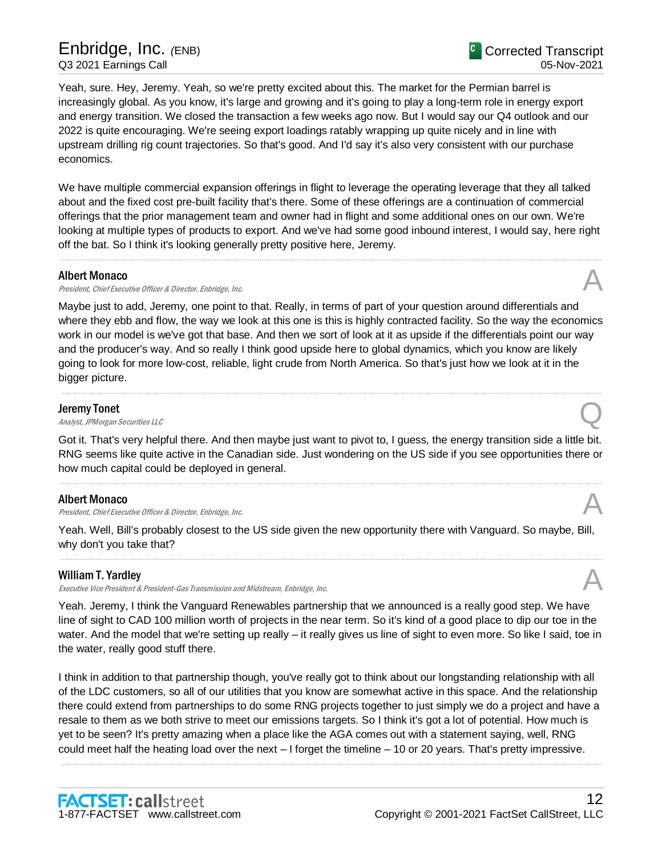# Enbridge, Inc. *(*ENB) Q3 2021 Earnings Call

Yeah, sure. Hey, Jeremy. Yeah, so we're pretty excited about this. The market for the Permian barrel is increasingly global. As you know, it's large and growing and it's going to play a long-term role in energy export and energy transition. We closed the transaction a few weeks ago now. But I would say our Q4 outlook and our 2022 is quite encouraging. We're seeing export loadings ratably wrapping up quite nicely and in line with upstream drilling rig count trajectories. So that's good. And I'd say it's also very consistent with our purchase economics.

We have multiple commercial expansion offerings in flight to leverage the operating leverage that they all talked about and the fixed cost pre-built facility that's there. Some of these offerings are a continuation of commercial offerings that the prior management team and owner had in flight and some additional ones on our own. We're looking at multiple types of products to export. And we've had some good inbound interest, I would say, here right off the bat. So I think it's looking generally pretty positive here, Jeremy.

.....................................................................................................................................................................................................................................................................

## Albert Monaco

President, Chief Executive Officer & Director, Enbridge, Inc.

Maybe just to add, Jeremy, one point to that. Really, in terms of part of your question around differentials and where they ebb and flow, the way we look at this one is this is highly contracted facility. So the way the economics work in our model is we've got that base. And then we sort of look at it as upside if the differentials point our way and the producer's way. And so really I think good upside here to global dynamics, which you know are likely going to look for more low-cost, reliable, light crude from North America. So that's just how we look at it in the bigger picture.

.....................................................................................................................................................................................................................................................................

## Jeremy Tonet

**Deremy Tonet**<br>Analyst, JPMorgan Securities LLC

Got it. That's very helpful there. And then maybe just want to pivot to, I guess, the energy transition side a little bit. RNG seems like quite active in the Canadian side. Just wondering on the US side if you see opportunities there or how much capital could be deployed in general.

.....................................................................................................................................................................................................................................................................

## Albert Monaco

President, Chief Executive Officer & Director, Enbridge, Inc.

Yeah. Well, Bill's probably closest to the US side given the new opportunity there with Vanguard. So maybe, Bill, why don't you take that?

.....................................................................................................................................................................................................................................................................

# William T. Yardley

Executive Vice President & President-Gas Transmission and Midstream, Enbridge, Inc. A

Yeah. Jeremy, I think the Vanguard Renewables partnership that we announced is a really good step. We have line of sight to CAD 100 million worth of projects in the near term. So it's kind of a good place to dip our toe in the water. And the model that we're setting up really – it really gives us line of sight to even more. So like I said, toe in the water, really good stuff there.

I think in addition to that partnership though, you've really got to think about our longstanding relationship with all of the LDC customers, so all of our utilities that you know are somewhat active in this space. And the relationship there could extend from partnerships to do some RNG projects together to just simply we do a project and have a resale to them as we both strive to meet our emissions targets. So I think it's got a lot of potential. How much is yet to be seen? It's pretty amazing when a place like the AGA comes out with a statement saying, well, RNG could meet half the heating load over the next – I forget the timeline – 10 or 20 years. That's pretty impressive.

.....................................................................................................................................................................................................................................................................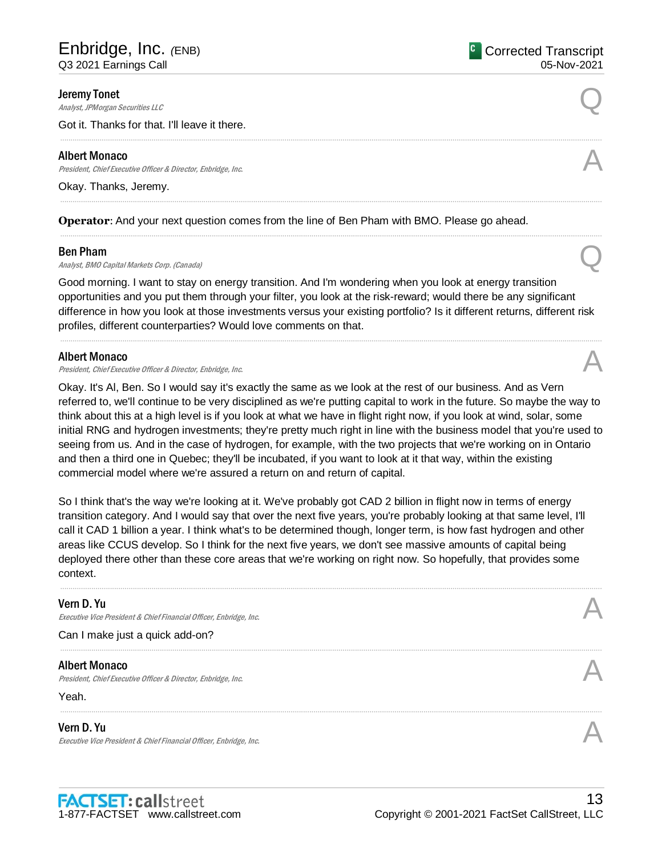#### Jeremy Tonet

**Deremy Tonet**<br>Analyst, JPMorgan Securities LLC

Got it. Thanks for that. I'll leave it there.

#### Albert Monaco

Albert Monaco<br>President, Chief Executive Officer & Director, Enbridge, Inc. And The Content of the Security of the Alberta S

Okay. Thanks, Jeremy.

**Operator**: And your next question comes from the line of Ben Pham with BMO. Please go ahead.

#### Ben Pham

**Ben Pham**<br>Analyst, BMO Capital Markets Corp. (Canada)  $\mathbb{Q}$ 

Good morning. I want to stay on energy transition. And I'm wondering when you look at energy transition opportunities and you put them through your filter, you look at the risk-reward; would there be any significant difference in how you look at those investments versus your existing portfolio? Is it different returns, different risk profiles, different counterparties? Would love comments on that.

.....................................................................................................................................................................................................................................................................

.....................................................................................................................................................................................................................................................................

#### Albert Monaco

President, Chief Executive Officer & Director, Enbridge, Inc.

Okay. It's Al, Ben. So I would say it's exactly the same as we look at the rest of our business. And as Vern referred to, we'll continue to be very disciplined as we're putting capital to work in the future. So maybe the way to think about this at a high level is if you look at what we have in flight right now, if you look at wind, solar, some initial RNG and hydrogen investments; they're pretty much right in line with the business model that you're used to seeing from us. And in the case of hydrogen, for example, with the two projects that we're working on in Ontario and then a third one in Quebec; they'll be incubated, if you want to look at it that way, within the existing commercial model where we're assured a return on and return of capital.

So I think that's the way we're looking at it. We've probably got CAD 2 billion in flight now in terms of energy transition category. And I would say that over the next five years, you're probably looking at that same level, I'll call it CAD 1 billion a year. I think what's to be determined though, longer term, is how fast hydrogen and other areas like CCUS develop. So I think for the next five years, we don't see massive amounts of capital being deployed there other than these core areas that we're working on right now. So hopefully, that provides some context.

.....................................................................................................................................................................................................................................................................

.....................................................................................................................................................................................................................................................................

#### Vern D. Yu

Executive Vice President & Chief Financial Officer, Enbridge, Inc.

Can I make just a quick add-on?

## Albert Monaco

President, Chief Executive Officer & Director, Enbridge, Inc.

#### Yeah.

#### Vern D. Yu

Executive Vice President & Chief Financial Officer, Enbridge, Inc.





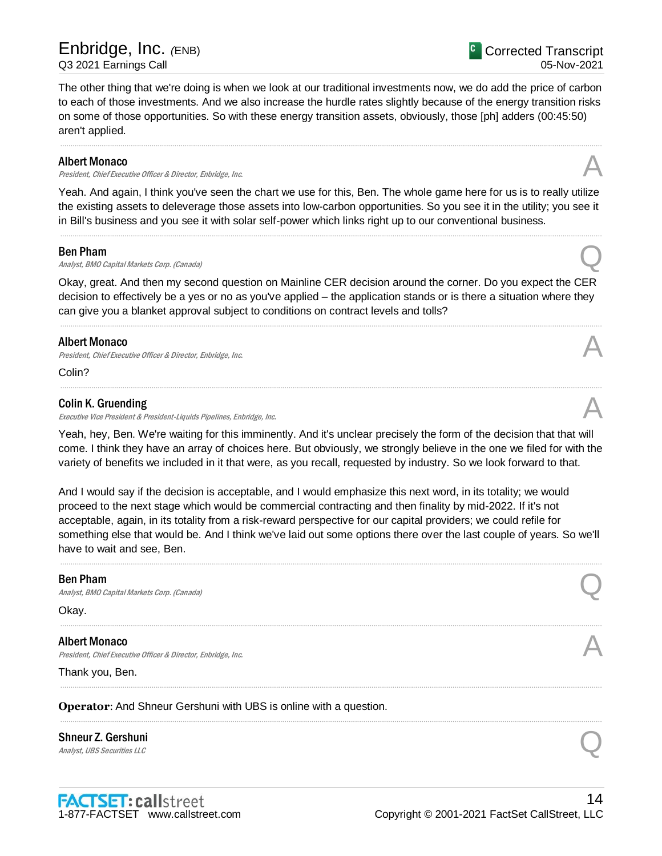<sup>C</sup> Corrected Transcript 05-Nov-2021

The other thing that we're doing is when we look at our traditional investments now, we do add the price of carbon to each of those investments. And we also increase the hurdle rates slightly because of the energy transition risks on some of those opportunities. So with these energy transition assets, obviously, those [ph] adders (00:45:50) aren't applied.

.....................................................................................................................................................................................................................................................................

#### Albert Monaco

Albert Monaco<br>President, Chief Executive Officer & Director, Enbridge, Inc. And The Content of the Security of the According

Yeah. And again, I think you've seen the chart we use for this, Ben. The whole game here for us is to really utilize the existing assets to deleverage those assets into low-carbon opportunities. So you see it in the utility; you see it in Bill's business and you see it with solar self-power which links right up to our conventional business.

.....................................................................................................................................................................................................................................................................

#### Ben Pham

**Ben Pham**<br>Analyst, BMO Capital Markets Corp. (Canada)  $\mathbb{Q}$ 

Okay, great. And then my second question on Mainline CER decision around the corner. Do you expect the CER decision to effectively be a yes or no as you've applied – the application stands or is there a situation where they can give you a blanket approval subject to conditions on contract levels and tolls?

.....................................................................................................................................................................................................................................................................

.....................................................................................................................................................................................................................................................................

## Albert Monaco

President, Chief Executive Officer & Director, Enbridge, Inc.

Colin?

## Colin K. Gruending

Executive Vice President & President-Liquids Pipelines, Enbridge, Inc.

Yeah, hey, Ben. We're waiting for this imminently. And it's unclear precisely the form of the decision that that will come. I think they have an array of choices here. But obviously, we strongly believe in the one we filed for with the variety of benefits we included in it that were, as you recall, requested by industry. So we look forward to that.

And I would say if the decision is acceptable, and I would emphasize this next word, in its totality; we would proceed to the next stage which would be commercial contracting and then finality by mid-2022. If it's not acceptable, again, in its totality from a risk-reward perspective for our capital providers; we could refile for something else that would be. And I think we've laid out some options there over the last couple of years. So we'll have to wait and see, Ben.

.....................................................................................................................................................................................................................................................................

.....................................................................................................................................................................................................................................................................

.....................................................................................................................................................................................................................................................................

.....................................................................................................................................................................................................................................................................

## Ben Pham

**Ben Pham**<br>Analyst, BMO Capital Markets Corp. (Canada)  $\mathbb{Q}$ 

Okay.

Albert Monaco President, Chief Executive Officer & Director, Enbridge, Inc.

Thank you, Ben.

**Operator**: And Shneur Gershuni with UBS is online with a question.

# Shneur Z. Gershuni Shneur Z. Gershuni<br>
Analyst, UBS Securities LLC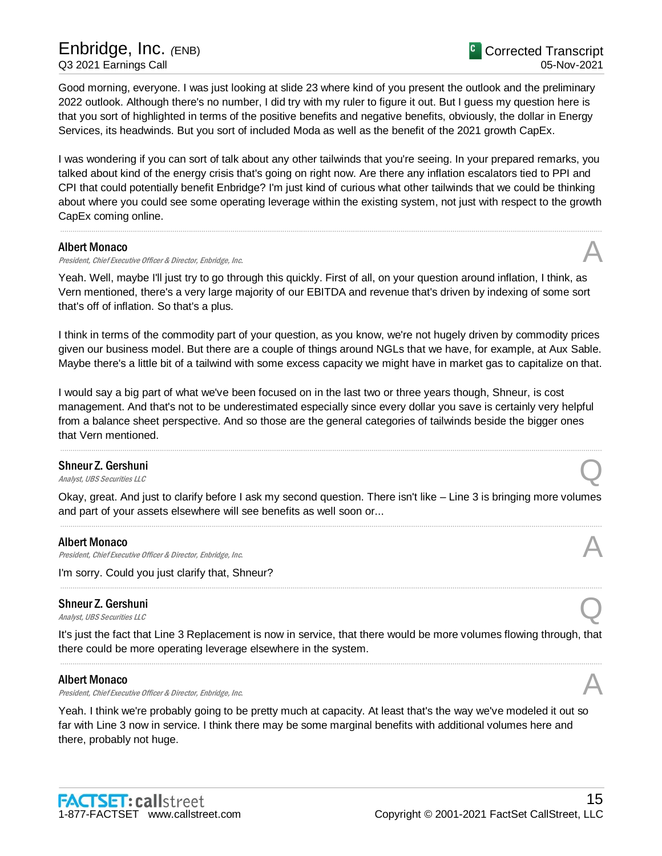Good morning, everyone. I was just looking at slide 23 where kind of you present the outlook and the preliminary 2022 outlook. Although there's no number, I did try with my ruler to figure it out. But I guess my question here is that you sort of highlighted in terms of the positive benefits and negative benefits, obviously, the dollar in Energy Services, its headwinds. But you sort of included Moda as well as the benefit of the 2021 growth CapEx.

I was wondering if you can sort of talk about any other tailwinds that you're seeing. In your prepared remarks, you talked about kind of the energy crisis that's going on right now. Are there any inflation escalators tied to PPI and CPI that could potentially benefit Enbridge? I'm just kind of curious what other tailwinds that we could be thinking about where you could see some operating leverage within the existing system, not just with respect to the growth CapEx coming online.

.....................................................................................................................................................................................................................................................................

## Albert Monaco

President, Chief Executive Officer & Director, Enbridge, Inc.

Yeah. Well, maybe I'll just try to go through this quickly. First of all, on your question around inflation, I think, as Vern mentioned, there's a very large majority of our EBITDA and revenue that's driven by indexing of some sort that's off of inflation. So that's a plus.

I think in terms of the commodity part of your question, as you know, we're not hugely driven by commodity prices given our business model. But there are a couple of things around NGLs that we have, for example, at Aux Sable. Maybe there's a little bit of a tailwind with some excess capacity we might have in market gas to capitalize on that.

I would say a big part of what we've been focused on in the last two or three years though, Shneur, is cost management. And that's not to be underestimated especially since every dollar you save is certainly very helpful from a balance sheet perspective. And so those are the general categories of tailwinds beside the bigger ones that Vern mentioned.

.....................................................................................................................................................................................................................................................................

# Shneur Z. Gershuni Shneur Z. Gershuni<br>
Analyst, UBS Securities LLC

Okay, great. And just to clarify before I ask my second question. There isn't like – Line 3 is bringing more volumes and part of your assets elsewhere will see benefits as well soon or... .....................................................................................................................................................................................................................................................................

## Albert Monaco

President, Chief Executive Officer & Director, Enbridge, Inc.

I'm sorry. Could you just clarify that, Shneur?

# Shneur Z. Gershuni Shneur Z. Gershuni<br>
Analyst, UBS Securities LLC

It's just the fact that Line 3 Replacement is now in service, that there would be more volumes flowing through, that there could be more operating leverage elsewhere in the system. .....................................................................................................................................................................................................................................................................

.....................................................................................................................................................................................................................................................................

## Albert Monaco

Albert Monaco<br>President, Chief Executive Officer & Director, Enbridge, Inc. And The Content of the Security of the Alberta S

Yeah. I think we're probably going to be pretty much at capacity. At least that's the way we've modeled it out so far with Line 3 now in service. I think there may be some marginal benefits with additional volumes here and there, probably not huge.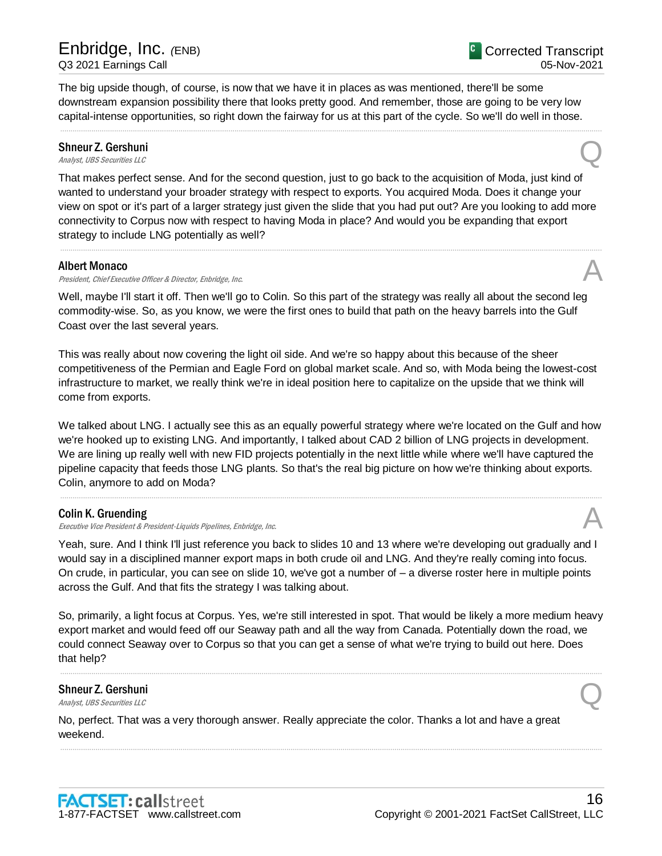The big upside though, of course, is now that we have it in places as was mentioned, there'll be some downstream expansion possibility there that looks pretty good. And remember, those are going to be very low capital-intense opportunities, so right down the fairway for us at this part of the cycle. So we'll do well in those.

.....................................................................................................................................................................................................................................................................

# Shneur Z. Gershuni Shneur Z. Gershuni<br>
Analyst, UBS Securities LLC

That makes perfect sense. And for the second question, just to go back to the acquisition of Moda, just kind of wanted to understand your broader strategy with respect to exports. You acquired Moda. Does it change your view on spot or it's part of a larger strategy just given the slide that you had put out? Are you looking to add more connectivity to Corpus now with respect to having Moda in place? And would you be expanding that export strategy to include LNG potentially as well?

.....................................................................................................................................................................................................................................................................

## Albert Monaco

Albert Monaco<br>President, Chief Executive Officer & Director, Enbridge, Inc. And The Content of the Security of the Alberta S

Well, maybe I'll start it off. Then we'll go to Colin. So this part of the strategy was really all about the second leg commodity-wise. So, as you know, we were the first ones to build that path on the heavy barrels into the Gulf Coast over the last several years.

This was really about now covering the light oil side. And we're so happy about this because of the sheer competitiveness of the Permian and Eagle Ford on global market scale. And so, with Moda being the lowest-cost infrastructure to market, we really think we're in ideal position here to capitalize on the upside that we think will come from exports.

We talked about LNG. I actually see this as an equally powerful strategy where we're located on the Gulf and how we're hooked up to existing LNG. And importantly, I talked about CAD 2 billion of LNG projects in development. We are lining up really well with new FID projects potentially in the next little while where we'll have captured the pipeline capacity that feeds those LNG plants. So that's the real big picture on how we're thinking about exports. Colin, anymore to add on Moda?

.....................................................................................................................................................................................................................................................................

## Colin K. Gruending

Executive Vice President & President-Liquids Pipelines, Enbridge, Inc.

Yeah, sure. And I think I'll just reference you back to slides 10 and 13 where we're developing out gradually and I would say in a disciplined manner export maps in both crude oil and LNG. And they're really coming into focus. On crude, in particular, you can see on slide 10, we've got a number of – a diverse roster here in multiple points across the Gulf. And that fits the strategy I was talking about.

So, primarily, a light focus at Corpus. Yes, we're still interested in spot. That would be likely a more medium heavy export market and would feed off our Seaway path and all the way from Canada. Potentially down the road, we could connect Seaway over to Corpus so that you can get a sense of what we're trying to build out here. Does that help?

.....................................................................................................................................................................................................................................................................

.....................................................................................................................................................................................................................................................................

# Shneur Z. Gershuni Shneur Z. Gershuni<br>
Analyst, UBS Securities LLC

No, perfect. That was a very thorough answer. Really appreciate the color. Thanks a lot and have a great weekend.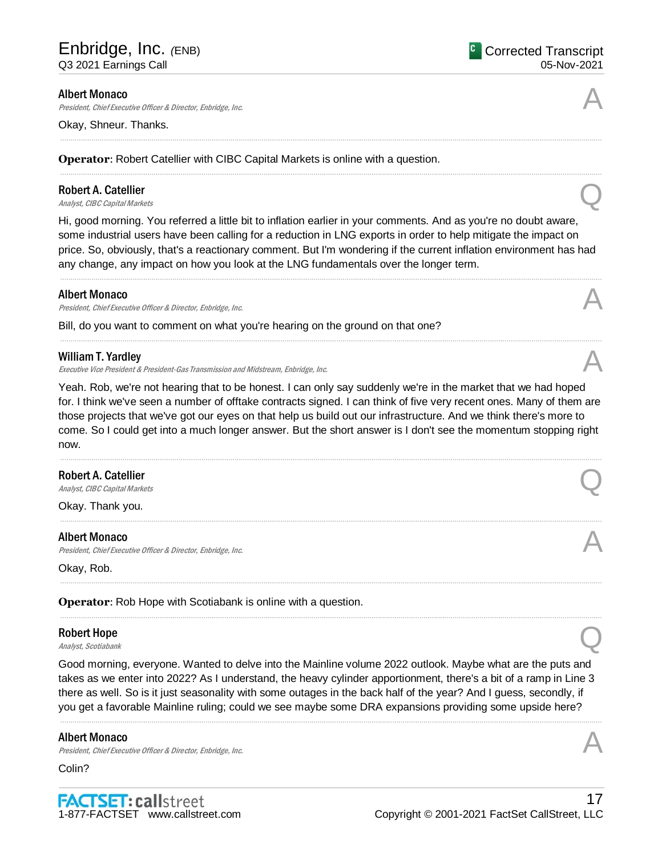<sup>C</sup> Corrected Transcript 05-Nov-2021

#### Albert Monaco

President, Chief Executive Officer & Director, Enbridge, Inc.

Okay, Shneur. Thanks.

**Operator**: Robert Catellier with CIBC Capital Markets is online with a question.

# Robert A. Catellier **Robert A. Catellier**<br>Analyst, CIBC Capital Markets **Q**

Hi, good morning. You referred a little bit to inflation earlier in your comments. And as you're no doubt aware, some industrial users have been calling for a reduction in LNG exports in order to help mitigate the impact on price. So, obviously, that's a reactionary comment. But I'm wondering if the current inflation environment has had any change, any impact on how you look at the LNG fundamentals over the longer term.

.....................................................................................................................................................................................................................................................................

.....................................................................................................................................................................................................................................................................

.....................................................................................................................................................................................................................................................................

.....................................................................................................................................................................................................................................................................

## Albert Monaco

Albert Monaco<br>President, Chief Executive Officer & Director, Enbridge, Inc. And The Content of the Security of the Alberta S

Bill, do you want to comment on what you're hearing on the ground on that one?

## William T. Yardley

Executive Vice President & President-Gas Transmission and Midstream, Enbridge, Inc. A

Yeah. Rob, we're not hearing that to be honest. I can only say suddenly we're in the market that we had hoped for. I think we've seen a number of offtake contracts signed. I can think of five very recent ones. Many of them are those projects that we've got our eyes on that help us build out our infrastructure. And we think there's more to come. So I could get into a much longer answer. But the short answer is I don't see the momentum stopping right now.

.....................................................................................................................................................................................................................................................................

.....................................................................................................................................................................................................................................................................

.....................................................................................................................................................................................................................................................................

.....................................................................................................................................................................................................................................................................

# Robert A. Catellier **Robert A. Catellier**<br>Analyst, CIBC Capital Markets **Q**

Okay. Thank you.

## Albert Monaco

Albert Monaco<br>President, Chief Executive Officer & Director, Enbridge, Inc. And The Content of the Security of the Alberta S

Okay, Rob.

**Operator**: Rob Hope with Scotiabank is online with a question.

# Robert Hope **Robert Hope**<br>Analyst, Scotiabank  $\bigotimes$

Good morning, everyone. Wanted to delve into the Mainline volume 2022 outlook. Maybe what are the puts and takes as we enter into 2022? As I understand, the heavy cylinder apportionment, there's a bit of a ramp in Line 3 there as well. So is it just seasonality with some outages in the back half of the year? And I guess, secondly, if you get a favorable Mainline ruling; could we see maybe some DRA expansions providing some upside here?

.....................................................................................................................................................................................................................................................................

## Albert Monaco

Albert Monaco<br>President, Chief Executive Officer & Director, Enbridge, Inc. And The Content of the Security of the Alberta S

Colin?

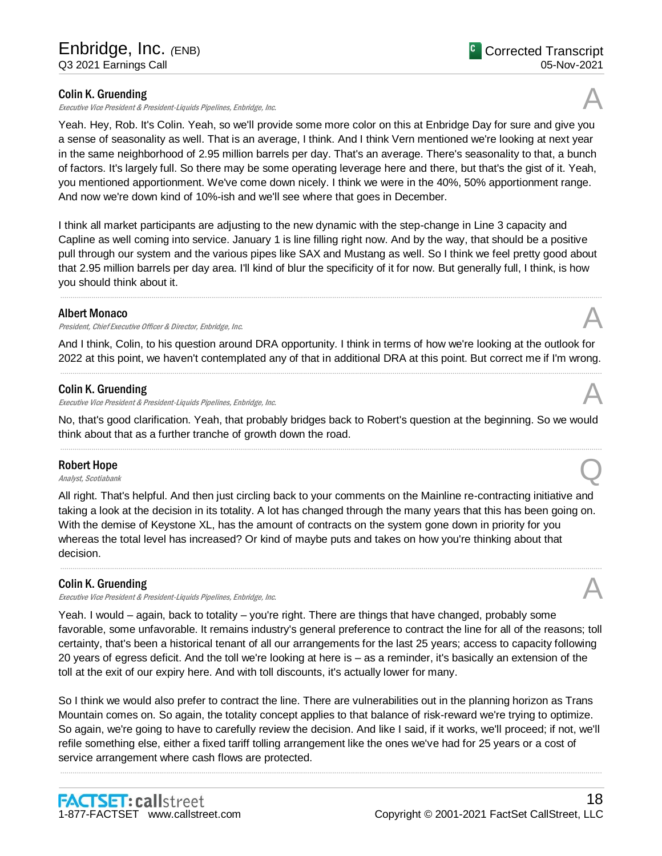## Colin K. Gruending

Executive Vice President & President-Liquids Pipelines, Enbridge, Inc.

Yeah. Hey, Rob. It's Colin. Yeah, so we'll provide some more color on this at Enbridge Day for sure and give you a sense of seasonality as well. That is an average, I think. And I think Vern mentioned we're looking at next year in the same neighborhood of 2.95 million barrels per day. That's an average. There's seasonality to that, a bunch of factors. It's largely full. So there may be some operating leverage here and there, but that's the gist of it. Yeah, you mentioned apportionment. We've come down nicely. I think we were in the 40%, 50% apportionment range. And now we're down kind of 10%-ish and we'll see where that goes in December.

I think all market participants are adjusting to the new dynamic with the step-change in Line 3 capacity and Capline as well coming into service. January 1 is line filling right now. And by the way, that should be a positive pull through our system and the various pipes like SAX and Mustang as well. So I think we feel pretty good about that 2.95 million barrels per day area. I'll kind of blur the specificity of it for now. But generally full, I think, is how you should think about it.

.....................................................................................................................................................................................................................................................................

## Albert Monaco

President, Chief Executive Officer & Director, Enbridge, Inc.

And I think, Colin, to his question around DRA opportunity. I think in terms of how we're looking at the outlook for 2022 at this point, we haven't contemplated any of that in additional DRA at this point. But correct me if I'm wrong. .....................................................................................................................................................................................................................................................................

# Colin K. Gruending

Executive Vice President & President-Liquids Pipelines, Enbridge, Inc.

No, that's good clarification. Yeah, that probably bridges back to Robert's question at the beginning. So we would think about that as a further tranche of growth down the road. .....................................................................................................................................................................................................................................................................

## Robert Hope

**Robert Hope**<br>Analyst, Scotiabank  $\bigotimes$ 

All right. That's helpful. And then just circling back to your comments on the Mainline re-contracting initiative and taking a look at the decision in its totality. A lot has changed through the many years that this has been going on. With the demise of Keystone XL, has the amount of contracts on the system gone down in priority for you whereas the total level has increased? Or kind of maybe puts and takes on how you're thinking about that decision.

# Colin K. Gruending

Executive Vice President & President-Liquids Pipelines, Enbridge, Inc.

Yeah. I would – again, back to totality – you're right. There are things that have changed, probably some favorable, some unfavorable. It remains industry's general preference to contract the line for all of the reasons; toll certainty, that's been a historical tenant of all our arrangements for the last 25 years; access to capacity following 20 years of egress deficit. And the toll we're looking at here is – as a reminder, it's basically an extension of the toll at the exit of our expiry here. And with toll discounts, it's actually lower for many.

So I think we would also prefer to contract the line. There are vulnerabilities out in the planning horizon as Trans Mountain comes on. So again, the totality concept applies to that balance of risk-reward we're trying to optimize. So again, we're going to have to carefully review the decision. And like I said, if it works, we'll proceed; if not, we'll refile something else, either a fixed tariff tolling arrangement like the ones we've had for 25 years or a cost of service arrangement where cash flows are protected.

.....................................................................................................................................................................................................................................................................